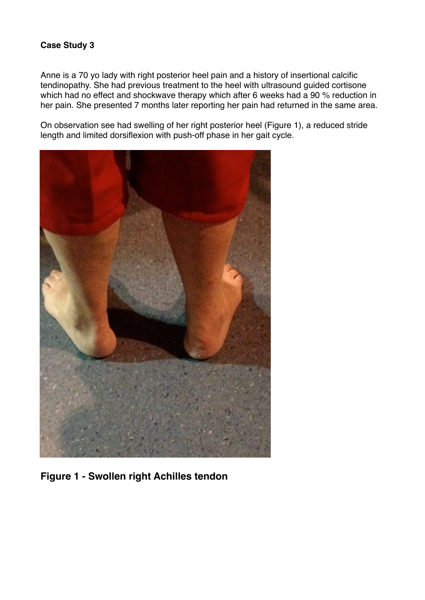## **Case Study 3**

Anne is a 70 yo lady with right posterior heel pain and a history of insertional calcific tendinopathy. She had previous treatment to the heel with ultrasound guided cortisone which had no effect and shockwave therapy which after 6 weeks had a 90 % reduction in her pain. She presented 7 months later reporting her pain had returned in the same area.

On observation see had swelling of her right posterior heel (Figure 1), a reduced stride length and limited dorsiflexion with push-off phase in her gait cycle.



**Figure 1 - Swollen right Achilles tendon**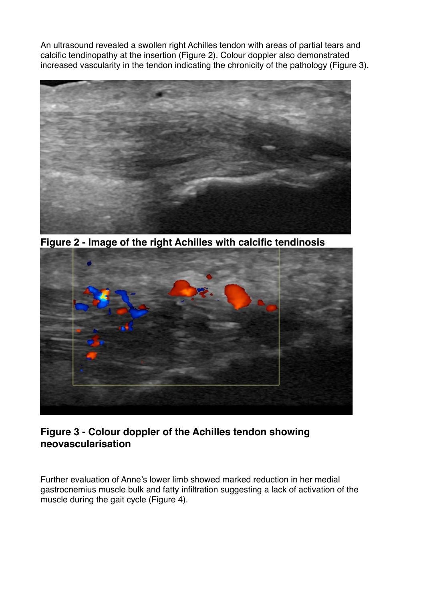An ultrasound revealed a swollen right Achilles tendon with areas of partial tears and calcific tendinopathy at the insertion (Figure 2). Colour doppler also demonstrated increased vascularity in the tendon indicating the chronicity of the pathology (Figure 3).



**Figure 2 - Image of the right Achilles with calcific tendinosis**



## **Figure 3 - Colour doppler of the Achilles tendon showing neovascularisation**

Further evaluation of Anne's lower limb showed marked reduction in her medial gastrocnemius muscle bulk and fatty infiltration suggesting a lack of activation of the muscle during the gait cycle (Figure 4).